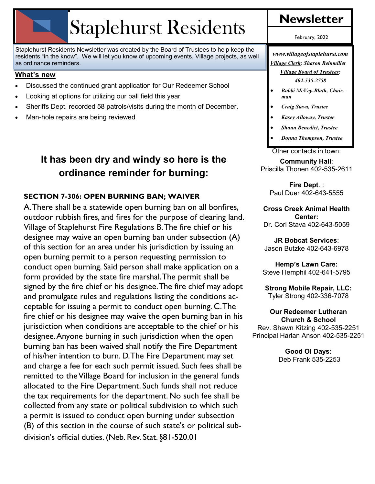# Staplehurst Residents

Staplehurst Residents Newsletter was created by the Board of Trustees to help keep the residents "in the know". We will let you know of upcoming events, Village projects, as well as ordinance reminders.

#### **What's new**

- Discussed the continued grant application for Our Redeemer School
- Looking at options for utilizing our ball field this year
- Sheriffs Dept. recorded 58 patrols/visits during the month of December.
- Man-hole repairs are being reviewed

## **It has been dry and windy so here is the ordinance reminder for burning:**

#### **SECTION 7-306: OPEN BURNING BAN; WAIVER**

A. There shall be a statewide open burning ban on all bonfires, outdoor rubbish fires, and fires for the purpose of clearing land. Village of Staplehurst Fire Regulations B. The fire chief or his designee may waive an open burning ban under subsection (A) of this section for an area under his jurisdiction by issuing an open burning permit to a person requesting permission to conduct open burning. Said person shall make application on a form provided by the state fire marshal. The permit shall be signed by the fire chief or his designee. The fire chief may adopt and promulgate rules and regulations listing the conditions acceptable for issuing a permit to conduct open burning. C. The fire chief or his designee may waive the open burning ban in his jurisdiction when conditions are acceptable to the chief or his designee. Anyone burning in such jurisdiction when the open burning ban has been waived shall notify the Fire Department of his/her intention to burn. D. The Fire Department may set and charge a fee for each such permit issued. Such fees shall be remitted to the Village Board for inclusion in the general funds allocated to the Fire Department. Such funds shall not reduce the tax requirements for the department. No such fee shall be collected from any state or political subdivision to which such a permit is issued to conduct open burning under subsection (B) of this section in the course of such state's or political subdivision's official duties. (Neb. Rev. Stat. §81-520.01

February, 2022

*www.villageofstaplehurst.com Village Clerk: Sharon Reinmiller Village Board of Trustees: 402-535-2758*

- *Bobbi McVey-Blath, Chairman*
- *Craig Stava, Trustee*
- *Kasey Alloway, Trustee*
- *Shaun Benedict, Trustee*
- *Donna Thompson, Trustee*

Other contacts in town:

**Community Hall**: Priscilla Thonen 402-535-2611

**Fire Dept**. : Paul Duer 402-643-5555

**Cross Creek Animal Health Center:**  Dr. Cori Stava 402-643-5059

**JR Bobcat Services**: Jason Butzke 402-643-6978

**Hemp's Lawn Care:** Steve Hemphil 402-641-5795

**Strong Mobile Repair, LLC:** Tyler Strong 402-336-7078

#### **Our Redeemer Lutheran**

**Church & School** Rev. Shawn Kitzing 402-535-2251 Principal Harlan Anson 402-535-2251

> **Good Ol Days:** Deb Frank 535-2253